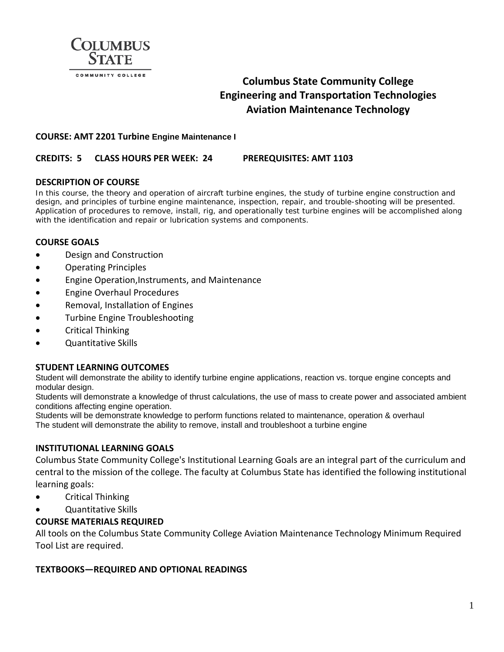

# **Columbus State Community College Engineering and Transportation Technologies Aviation Maintenance Technology**

#### **COURSE: AMT 2201 Turbine Engine Maintenance I**

#### **CREDITS: 5 CLASS HOURS PER WEEK: 24 PREREQUISITES: AMT 1103**

#### **DESCRIPTION OF COURSE**

In this course, the theory and operation of aircraft turbine engines, the study of turbine engine construction and design, and principles of turbine engine maintenance, inspection, repair, and trouble-shooting will be presented. Application of procedures to remove, install, rig, and operationally test turbine engines will be accomplished along with the identification and repair or lubrication systems and components.

## **COURSE GOALS**

- Design and Construction
- Operating Principles
- Engine Operation,Instruments, and Maintenance
- Engine Overhaul Procedures
- Removal, Installation of Engines
- Turbine Engine Troubleshooting
- Critical Thinking
- Quantitative Skills

#### **STUDENT LEARNING OUTCOMES**

Student will demonstrate the ability to identify turbine engine applications, reaction vs. torque engine concepts and modular design.

Students will demonstrate a knowledge of thrust calculations, the use of mass to create power and associated ambient conditions affecting engine operation.

Students will be demonstrate knowledge to perform functions related to maintenance, operation & overhaul The student will demonstrate the ability to remove, install and troubleshoot a turbine engine

#### **INSTITUTIONAL LEARNING GOALS**

Columbus State Community College's Institutional Learning Goals are an integral part of the curriculum and central to the mission of the college. The faculty at Columbus State has identified the following institutional learning goals:

- Critical Thinking
- Quantitative Skills

## **COURSE MATERIALS REQUIRED**

All tools on the Columbus State Community College Aviation Maintenance Technology Minimum Required Tool List are required.

#### **TEXTBOOKS—REQUIRED AND OPTIONAL READINGS**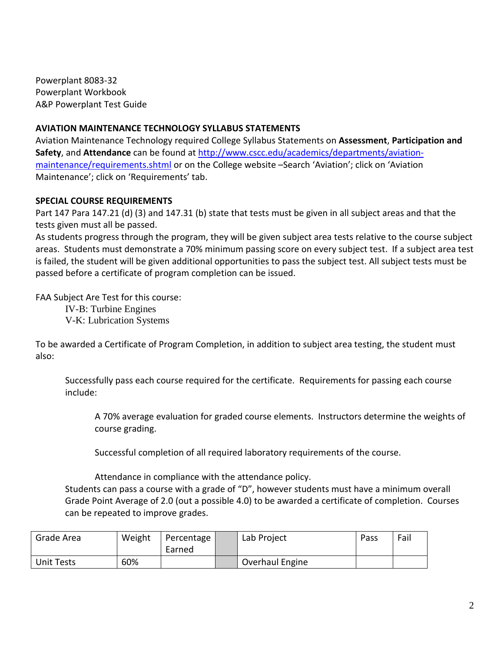Powerplant 8083-32 Powerplant Workbook A&P Powerplant Test Guide

## **AVIATION MAINTENANCE TECHNOLOGY SYLLABUS STATEMENTS**

Aviation Maintenance Technology required College Syllabus Statements on **Assessment**, **Participation and Safety**, and **Attendance** can be found at [http://www.cscc.edu/academics/departments/aviation](http://www.cscc.edu/academics/departments/aviation-maintenance/requirements.shtml)[maintenance/requirements.shtml](http://www.cscc.edu/academics/departments/aviation-maintenance/requirements.shtml) or on the College website –Search 'Aviation'; click on 'Aviation Maintenance'; click on 'Requirements' tab.

# **SPECIAL COURSE REQUIREMENTS**

Part 147 Para 147.21 (d) (3) and 147.31 (b) state that tests must be given in all subject areas and that the tests given must all be passed.

As students progress through the program, they will be given subject area tests relative to the course subject areas. Students must demonstrate a 70% minimum passing score on every subject test. If a subject area test is failed, the student will be given additional opportunities to pass the subject test. All subject tests must be passed before a certificate of program completion can be issued.

FAA Subject Are Test for this course:

IV-B: Turbine Engines V-K: Lubrication Systems

To be awarded a Certificate of Program Completion, in addition to subject area testing, the student must also:

Successfully pass each course required for the certificate. Requirements for passing each course include:

A 70% average evaluation for graded course elements. Instructors determine the weights of course grading.

Successful completion of all required laboratory requirements of the course.

Attendance in compliance with the attendance policy.

Students can pass a course with a grade of "D", however students must have a minimum overall Grade Point Average of 2.0 (out a possible 4.0) to be awarded a certificate of completion. Courses can be repeated to improve grades.

| Grade Area        | Weight | Percentage<br>Earned | Lab Project     | Pass | Fail |
|-------------------|--------|----------------------|-----------------|------|------|
| <b>Unit Tests</b> | 60%    |                      | Overhaul Engine |      |      |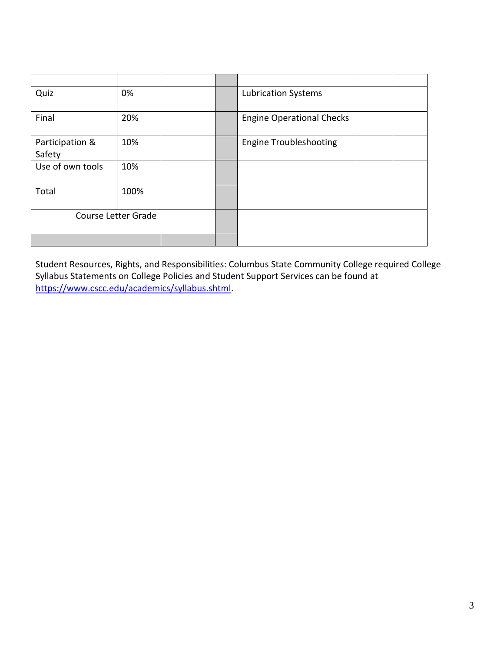| Quiz                      | 0%   |  | <b>Lubrication Systems</b>       |  |
|---------------------------|------|--|----------------------------------|--|
| Final                     | 20%  |  | <b>Engine Operational Checks</b> |  |
| Participation &<br>Safety | 10%  |  | <b>Engine Troubleshooting</b>    |  |
| Use of own tools          | 10%  |  |                                  |  |
| Total                     | 100% |  |                                  |  |
| Course Letter Grade       |      |  |                                  |  |
|                           |      |  |                                  |  |

Student Resources, Rights, and Responsibilities: Columbus State Community College required College Syllabus Statements on College Policies and Student Support Services can be found at [https://www.cscc.edu/academics/syllabus.shtml.](https://www.cscc.edu/academics/syllabus.shtml)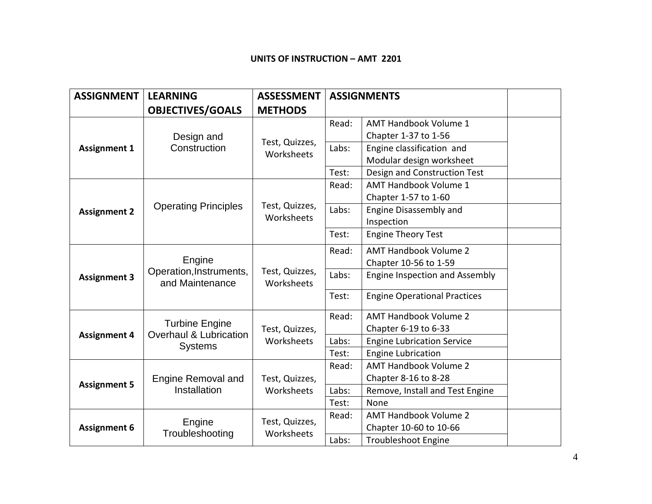#### **UNITS OF INSTRUCTION – AMT 2201**

| <b>ASSIGNMENT</b>   | <b>LEARNING</b>                                                   | <b>ASSESSMENT</b>            | <b>ASSIGNMENTS</b> |                                     |  |
|---------------------|-------------------------------------------------------------------|------------------------------|--------------------|-------------------------------------|--|
|                     | <b>OBJECTIVES/GOALS</b>                                           | <b>METHODS</b>               |                    |                                     |  |
| <b>Assignment 1</b> | Design and<br>Construction                                        | Test, Quizzes,<br>Worksheets | Read:              | AMT Handbook Volume 1               |  |
|                     |                                                                   |                              |                    | Chapter 1-37 to 1-56                |  |
|                     |                                                                   |                              | Labs:              | Engine classification and           |  |
|                     |                                                                   |                              |                    | Modular design worksheet            |  |
|                     |                                                                   |                              | Test:              | Design and Construction Test        |  |
|                     | <b>Operating Principles</b>                                       | Test, Quizzes,<br>Worksheets | Read:              | <b>AMT Handbook Volume 1</b>        |  |
|                     |                                                                   |                              |                    | Chapter 1-57 to 1-60                |  |
| <b>Assignment 2</b> |                                                                   |                              | Labs:              | <b>Engine Disassembly and</b>       |  |
|                     |                                                                   |                              |                    | Inspection                          |  |
|                     |                                                                   |                              | Test:              | <b>Engine Theory Test</b>           |  |
| <b>Assignment 3</b> | Engine<br>Operation, Instruments,<br>and Maintenance              | Test, Quizzes,<br>Worksheets | Read:              | <b>AMT Handbook Volume 2</b>        |  |
|                     |                                                                   |                              |                    | Chapter 10-56 to 1-59               |  |
|                     |                                                                   |                              | Labs:              | Engine Inspection and Assembly      |  |
|                     |                                                                   |                              | Test:              | <b>Engine Operational Practices</b> |  |
|                     | <b>Turbine Engine</b><br>Overhaul & Lubrication<br><b>Systems</b> | Test, Quizzes,<br>Worksheets | Read:              | <b>AMT Handbook Volume 2</b>        |  |
| <b>Assignment 4</b> |                                                                   |                              |                    | Chapter 6-19 to 6-33                |  |
|                     |                                                                   |                              | Labs:              | <b>Engine Lubrication Service</b>   |  |
|                     |                                                                   |                              | Test:              | <b>Engine Lubrication</b>           |  |
| <b>Assignment 5</b> | <b>Engine Removal and</b><br>Installation                         | Test, Quizzes,<br>Worksheets | Read:              | <b>AMT Handbook Volume 2</b>        |  |
|                     |                                                                   |                              |                    | Chapter 8-16 to 8-28                |  |
|                     |                                                                   |                              | Labs:              | Remove, Install and Test Engine     |  |
|                     |                                                                   |                              | Test:              | None                                |  |
|                     |                                                                   | Test, Quizzes,<br>Worksheets | Read:              | <b>AMT Handbook Volume 2</b>        |  |
| <b>Assignment 6</b> | Engine<br>Troubleshooting                                         |                              |                    | Chapter 10-60 to 10-66              |  |
|                     |                                                                   |                              | Labs:              | <b>Troubleshoot Engine</b>          |  |